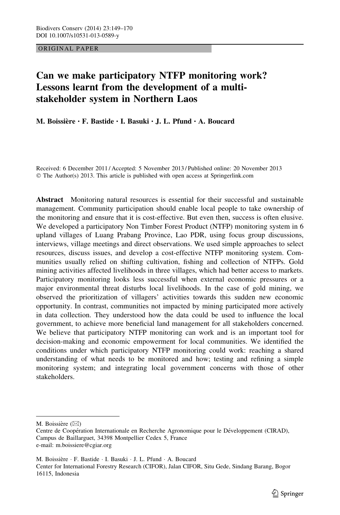ORIGINAL PAPER

# Can we make participatory NTFP monitoring work? Lessons learnt from the development of a multistakeholder system in Northern Laos

M. Boissière • F. Bastide • I. Basuki • J. L. Pfund • A. Boucard

Received: 6 December 2011 / Accepted: 5 November 2013 / Published online: 20 November 2013 © The Author(s) 2013. This article is published with open access at Springerlink.com

Abstract Monitoring natural resources is essential for their successful and sustainable management. Community participation should enable local people to take ownership of the monitoring and ensure that it is cost-effective. But even then, success is often elusive. We developed a participatory Non Timber Forest Product (NTFP) monitoring system in 6 upland villages of Luang Prabang Province, Lao PDR, using focus group discussions, interviews, village meetings and direct observations. We used simple approaches to select resources, discuss issues, and develop a cost-effective NTFP monitoring system. Communities usually relied on shifting cultivation, fishing and collection of NTFPs. Gold mining activities affected livelihoods in three villages, which had better access to markets. Participatory monitoring looks less successful when external economic pressures or a major environmental threat disturbs local livelihoods. In the case of gold mining, we observed the prioritization of villagers' activities towards this sudden new economic opportunity. In contrast, communities not impacted by mining participated more actively in data collection. They understood how the data could be used to influence the local government, to achieve more beneficial land management for all stakeholders concerned. We believe that participatory NTFP monitoring can work and is an important tool for decision-making and economic empowerment for local communities. We identified the conditions under which participatory NTFP monitoring could work: reaching a shared understanding of what needs to be monitored and how; testing and refining a simple monitoring system; and integrating local government concerns with those of other stakeholders.

M. Boissière  $(\boxtimes)$ 

Centre de Coopération Internationale en Recherche Agronomique pour le Développement (CIRAD), Campus de Baillarguet, 34398 Montpellier Cedex 5, France e-mail: m.boissiere@cgiar.org

M. Boissière · F. Bastide · I. Basuki · J. L. Pfund · A. Boucard Center for International Forestry Research (CIFOR), Jalan CIFOR, Situ Gede, Sindang Barang, Bogor 16115, Indonesia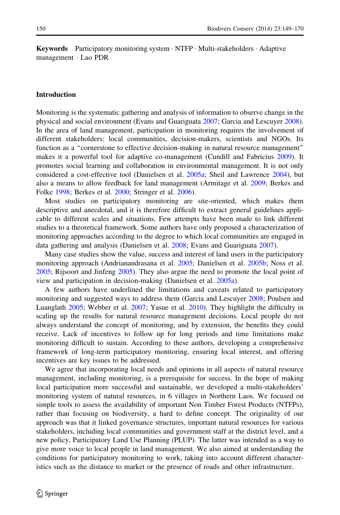Keywords Participatory monitoring system · NTFP · Multi-stakeholders · Adaptive management - Lao PDR

#### **Introduction**

Monitoring is the systematic gathering and analysis of information to observe change in the physical and social environment (Evans and Guariguata [2007](#page-20-0); Garcia and Lescuyer [2008](#page-20-0)). In the area of land management, participation in monitoring requires the involvement of different stakeholders: local communities, decision-makers, scientists and NGOs. Its function as a ''cornerstone to effective decision-making in natural resource management'' makes it a powerful tool for adaptive co-management (Cundill and Fabricius [2009](#page-20-0)). It promotes social learning and collaboration in environmental management. It is not only considered a cost-effective tool (Danielsen et al. [2005a;](#page-20-0) Sheil and Lawrence [2004](#page-21-0)), but also a means to allow feedback for land management (Armitage et al. [2009](#page-20-0); Berkes and Folke [1998](#page-20-0); Berkes et al. [2000](#page-20-0); Stringer et al. [2006\)](#page-21-0).

Most studies on participatory monitoring are site-oriented, which makes them descriptive and anecdotal, and it is therefore difficult to extract general guidelines applicable to different scales and situations. Few attempts have been made to link different studies to a theoretical framework. Some authors have only proposed a characterization of monitoring approaches according to the degree to which local communities are engaged in data gathering and analysis (Danielsen et al. [2008](#page-20-0); Evans and Guariguata [2007](#page-20-0)).

Many case studies show the value, success and interest of land users in the participatory monitoring approach (Andrianandrasana et al. [2005](#page-19-0); Danielsen et al. [2005b](#page-20-0); Noss et al. [2005;](#page-21-0) Rijsoort and Jinfeng [2005\)](#page-21-0). They also argue the need to promote the local point of view and participation in decision-making (Danielsen et al. [2005a](#page-20-0)).

A few authors have underlined the limitations and caveats related to participatory monitoring and suggested ways to address them (Garcia and Lescuyer [2008](#page-20-0); Poulsen and Luanglath [2005](#page-21-0); Webber et al. [2007](#page-21-0); Yasue et al. [2010](#page-21-0)). They highlight the difficulty in scaling up the results for natural resource management decisions. Local people do not always understand the concept of monitoring, and by extension, the benefits they could receive. Lack of incentives to follow up for long periods and time limitations make monitoring difficult to sustain. According to these authors, developing a comprehensive framework of long-term participatory monitoring, ensuring local interest, and offering incentives are key issues to be addressed.

We agree that incorporating local needs and opinions in all aspects of natural resource management, including monitoring, is a prerequisite for success. In the hope of making local participation more successful and sustainable, we developed a multi-stakeholders' monitoring system of natural resources, in 6 villages in Northern Laos. We focused on simple tools to assess the availability of important Non Timber Forest Products (NTFPs), rather than focusing on biodiversity, a hard to define concept. The originality of our approach was that it linked governance structures, important natural resources for various stakeholders, including local communities and government staff at the district level, and a new policy, Participatory Land Use Planning (PLUP). The latter was intended as a way to give more voice to local people in land management. We also aimed at understanding the conditions for participatory monitoring to work, taking into account different characteristics such as the distance to market or the presence of roads and other infrastructure.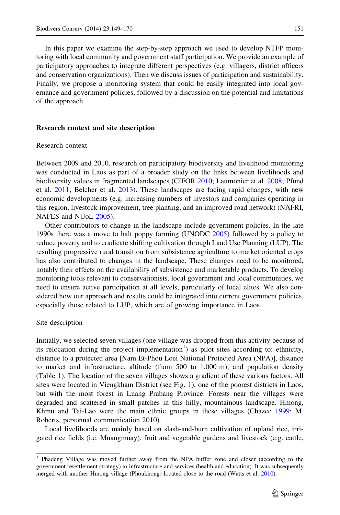In this paper we examine the step-by-step approach we used to develop NTFP monitoring with local community and government staff participation. We provide an example of participatory approaches to integrate different perspectives (e.g. villagers, district officers and conservation organizations). Then we discuss issues of participation and sustainability. Finally, we propose a monitoring system that could be easily integrated into local governance and government policies, followed by a discussion on the potential and limitations of the approach.

#### Research context and site description

#### Research context

Between 2009 and 2010, research on participatory biodiversity and livelihood monitoring was conducted in Laos as part of a broader study on the links between livelihoods and biodiversity values in fragmented landscapes (CIFOR [2010](#page-20-0); Laumonier et al. [2008;](#page-20-0) Pfund et al. [2011;](#page-21-0) Belcher et al. [2013](#page-20-0)). These landscapes are facing rapid changes, with new economic developments (e.g. increasing numbers of investors and companies operating in this region, livestock improvement, tree planting, and an improved road network) (NAFRI, NAFES and NUoL [2005\)](#page-20-0).

Other contributors to change in the landscape include government policies. In the late 1990s there was a move to halt poppy farming (UNODC [2005\)](#page-21-0) followed by a policy to reduce poverty and to eradicate shifting cultivation through Land Use Planning (LUP). The resulting progressive rural transition from subsistence agriculture to market oriented crops has also contributed to changes in the landscape. These changes need to be monitored, notably their effects on the availability of subsistence and marketable products. To develop monitoring tools relevant to conservationists, local government and local communities, we need to ensure active participation at all levels, particularly of local elites. We also considered how our approach and results could be integrated into current government policies, especially those related to LUP, which are of growing importance in Laos.

#### Site description

Initially, we selected seven villages (one village was dropped from this activity because of its relocation during the project implementation<sup>1</sup>) as pilot sites according to: ethnicity, distance to a protected area [Nam Et-Phou Loei National Protected Area (NPA)], distance to market and infrastructure, altitude (from 500 to 1,000 m), and population density (Table [1](#page-3-0)). The location of the seven villages shows a gradient of these various factors. All sites were located in Viengkham District (see Fig. [1\)](#page-4-0), one of the poorest districts in Laos, but with the most forest in Luang Prabang Province. Forests near the villages were degraded and scattered in small patches in this hilly, mountainous landscape. Hmong, Khmu and Tai-Lao were the main ethnic groups in these villages (Chazee [1999;](#page-20-0) M. Roberts, personnal communication 2010).

Local livelihoods are mainly based on slash-and-burn cultivation of upland rice, irrigated rice fields (i.e. Muangmuay), fruit and vegetable gardens and livestock (e.g. cattle,

<sup>&</sup>lt;sup>1</sup> Phadeng Village was moved further away from the NPA buffer zone and closer (according to the government resettlement strategy) to infrastructure and services (health and education). It was subsequently merged with another Hmong village (Phoukhong) located close to the road (Watts et al. [2010](#page-21-0)).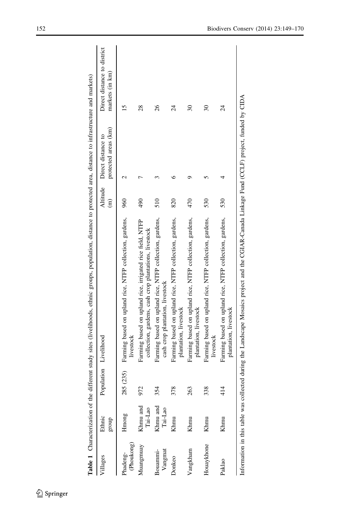<span id="page-3-0"></span>

|                       |                     |                       | $\frac{1}{2}$<br>$\sim$ $\sim$ $\sim$                                                                                                         |                 |                                                     |                                                |
|-----------------------|---------------------|-----------------------|-----------------------------------------------------------------------------------------------------------------------------------------------|-----------------|-----------------------------------------------------|------------------------------------------------|
| Villages              | Ethnic<br>group     | Population Livelihood |                                                                                                                                               | $\widehat{E}$   | protected areas (km)<br>Altitude Direct distance to | Direct distance to district<br>markets (in km) |
| Phoukong)<br>Phadeng- | Hmong               | 285 (235)             | Farming based on upland rice, NTFP collection, gardens,<br>livestock                                                                          | $\frac{60}{50}$ |                                                     |                                                |
| Muangmuay             | Khmu and<br>Tai-Lao | PZ.                   | Farming based on upland rice, irrigated rice field, NTFP<br>collection, gardens, cash crop plantations, livestock                             | 90              |                                                     | 28                                             |
| Vangmat<br>Bouannni-  | Khmu and<br>Tai-Lao | 354                   | Farming based on upland rice, NTFP collection, gardens,<br>cash crop plantation, livestock                                                    | 510             |                                                     | 26                                             |
| Donkeo                | Khmu                | 378                   | Farming based on upland rice, NTFP collection, gardens,<br>plantation, livestock                                                              | 820             |                                                     | 24                                             |
| Vangkham              | Khmu                | 263                   | Farming based on upland rice, NTFP collection, gardens,<br>plantation, livestock                                                              | 470             |                                                     | 30                                             |
| Houaykhone            | Khmu                | 338                   | Farming based on upland rice, NTFP collection, gardens,<br>livestock                                                                          | 530             |                                                     | 30                                             |
| Paklao                | Khmu                | $\frac{14}{1}$        | Farming based on upland rice, NTFP collection, gardens,<br>plantation, livestock                                                              | 530             |                                                     | $\overline{24}$                                |
|                       |                     |                       | Information in this table was collected during the Landscape Mosaics project and the CGIAR-Canada Linkage Fund (CCLF) project, funded by CIDA |                 |                                                     |                                                |

Table 1 Characterization of the different study sites (livelihoods, ethnic groups, population, distance to protected area, distance to infrastructure and markets) Table 1 Characterization of the different study sites (livelihoods, ethnic groups, population, distance to protected area, distance to infrastructure and markets)

 $\underline{\textcircled{\tiny 2}}$  Springer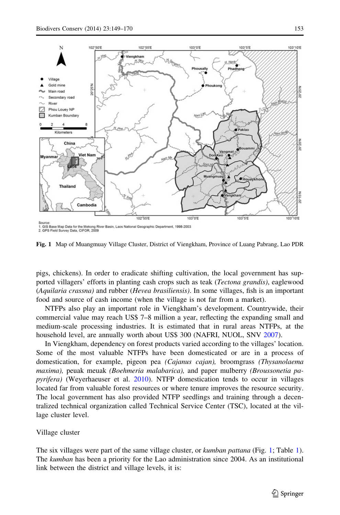<span id="page-4-0"></span>

Fig. 1 Map of Muangmuay Village Cluster, District of Viengkham, Province of Luang Pabrang, Lao PDR

pigs, chickens). In order to eradicate shifting cultivation, the local government has supported villagers' efforts in planting cash crops such as teak (Tectona grandis), eaglewood (Aquilaria crassna) and rubber (Hevea brasiliensis). In some villages, fish is an important food and source of cash income (when the village is not far from a market).

NTFPs also play an important role in Viengkham's development. Countrywide, their commercial value may reach US\$ 7–8 million a year, reflecting the expanding small and medium-scale processing industries. It is estimated that in rural areas NTFPs, at the household level, are annually worth about US\$ 300 (NAFRI, NUOL, SNV [2007\)](#page-21-0).

In Viengkham, dependency on forest products varied according to the villages' location. Some of the most valuable NTFPs have been domesticated or are in a process of domestication, for example, pigeon pea (Cajanus cajan), broomgrass (Thysanolaema maxima), peuak meuak (Boehmeria malabarica), and paper mulberry (Broussonetia papyrifera) (Weyerhaeuser et al. [2010](#page-21-0)). NTFP domestication tends to occur in villages located far from valuable forest resources or where tenure improves the resource security. The local government has also provided NTFP seedlings and training through a decentralized technical organization called Technical Service Center (TSC), located at the village cluster level.

#### Village cluster

The six villages were part of the same village cluster, or *kumban pattana* (Fig. [1](#page-3-0); Table 1). The kumban has been a priority for the Lao administration since 2004. As an institutional link between the district and village levels, it is: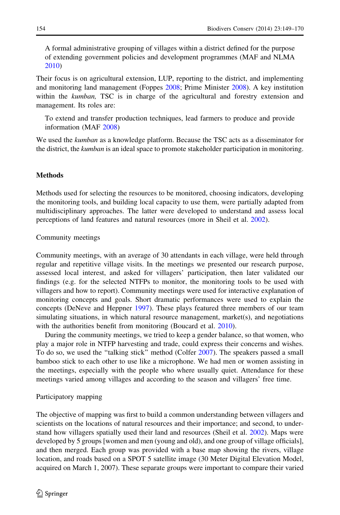A formal administrative grouping of villages within a district defined for the purpose of extending government policies and development programmes (MAF and NLMA [2010](#page-20-0))

Their focus is on agricultural extension, LUP, reporting to the district, and implementing and monitoring land management (Foppes [2008;](#page-20-0) Prime Minister [2008\)](#page-21-0). A key institution within the *kumban*, TSC is in charge of the agricultural and forestry extension and management. Its roles are:

To extend and transfer production techniques, lead farmers to produce and provide information (MAF [2008\)](#page-20-0)

We used the *kumban* as a knowledge platform. Because the TSC acts as a disseminator for the district, the *kumban* is an ideal space to promote stakeholder participation in monitoring.

## **Methods**

Methods used for selecting the resources to be monitored, choosing indicators, developing the monitoring tools, and building local capacity to use them, were partially adapted from multidisciplinary approaches. The latter were developed to understand and assess local perceptions of land features and natural resources (more in Sheil et al. [2002](#page-21-0)).

Community meetings

Community meetings, with an average of 30 attendants in each village, were held through regular and repetitive village visits. In the meetings we presented our research purpose, assessed local interest, and asked for villagers' participation, then later validated our findings (e.g. for the selected NTFPs to monitor, the monitoring tools to be used with villagers and how to report). Community meetings were used for interactive explanation of monitoring concepts and goals. Short dramatic performances were used to explain the concepts (DeNeve and Heppner [1997](#page-20-0)). These plays featured three members of our team simulating situations, in which natural resource management, market(s), and negotiations with the authorities benefit from monitoring (Boucard et al. [2010\)](#page-20-0).

During the community meetings, we tried to keep a gender balance, so that women, who play a major role in NTFP harvesting and trade, could express their concerns and wishes. To do so, we used the ''talking stick'' method (Colfer [2007](#page-20-0)). The speakers passed a small bamboo stick to each other to use like a microphone. We had men or women assisting in the meetings, especially with the people who where usually quiet. Attendance for these meetings varied among villages and according to the season and villagers' free time.

Participatory mapping

The objective of mapping was first to build a common understanding between villagers and scientists on the locations of natural resources and their importance; and second, to understand how villagers spatially used their land and resources (Sheil et al. [2002\)](#page-21-0). Maps were developed by 5 groups [women and men (young and old), and one group of village officials], and then merged. Each group was provided with a base map showing the rivers, village location, and roads based on a SPOT 5 satellite image (30 Meter Digital Elevation Model, acquired on March 1, 2007). These separate groups were important to compare their varied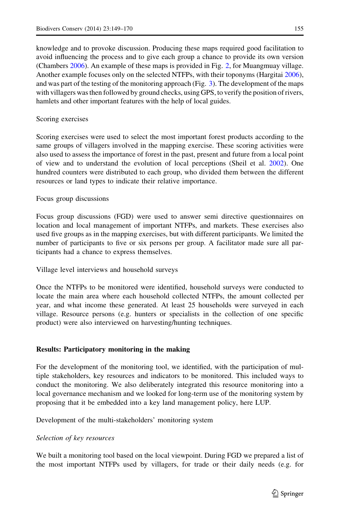knowledge and to provoke discussion. Producing these maps required good facilitation to avoid influencing the process and to give each group a chance to provide its own version (Chambers [2006](#page-20-0)). An example of these maps is provided in Fig. [2](#page-7-0), for Muangmuay village. Another example focuses only on the selected NTFPs, with their toponyms (Hargitai [2006](#page-20-0)), and was part of the testing of the monitoring approach (Fig. [3\)](#page-8-0). The development of the maps with villagers was then followed by ground checks, using GPS, to verify the position of rivers, hamlets and other important features with the help of local guides.

## Scoring exercises

Scoring exercises were used to select the most important forest products according to the same groups of villagers involved in the mapping exercise. These scoring activities were also used to assess the importance of forest in the past, present and future from a local point of view and to understand the evolution of local perceptions (Sheil et al. [2002](#page-21-0)). One hundred counters were distributed to each group, who divided them between the different resources or land types to indicate their relative importance.

## Focus group discussions

Focus group discussions (FGD) were used to answer semi directive questionnaires on location and local management of important NTFPs, and markets. These exercises also used five groups as in the mapping exercises, but with different participants. We limited the number of participants to five or six persons per group. A facilitator made sure all participants had a chance to express themselves.

Village level interviews and household surveys

Once the NTFPs to be monitored were identified, household surveys were conducted to locate the main area where each household collected NTFPs, the amount collected per year, and what income these generated. At least 25 households were surveyed in each village. Resource persons (e.g. hunters or specialists in the collection of one specific product) were also interviewed on harvesting/hunting techniques.

# Results: Participatory monitoring in the making

For the development of the monitoring tool, we identified, with the participation of multiple stakeholders, key resources and indicators to be monitored. This included ways to conduct the monitoring. We also deliberately integrated this resource monitoring into a local governance mechanism and we looked for long-term use of the monitoring system by proposing that it be embedded into a key land management policy, here LUP.

Development of the multi-stakeholders' monitoring system

## Selection of key resources

We built a monitoring tool based on the local viewpoint. During FGD we prepared a list of the most important NTFPs used by villagers, for trade or their daily needs (e.g. for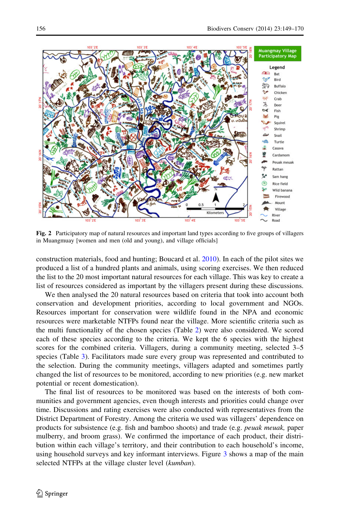<span id="page-7-0"></span>

Fig. 2 Participatory map of natural resources and important land types according to five groups of villagers in Muangmuay [women and men (old and young), and village officials]

construction materials, food and hunting; Boucard et al. [2010](#page-20-0)). In each of the pilot sites we produced a list of a hundred plants and animals, using scoring exercises. We then reduced the list to the 20 most important natural resources for each village. This was key to create a list of resources considered as important by the villagers present during these discussions.

We then analysed the 20 natural resources based on criteria that took into account both conservation and development priorities, according to local government and NGOs. Resources important for conservation were wildlife found in the NPA and economic resources were marketable NTFPs found near the village. More scientific criteria such as the multi functionality of the chosen species (Table [2](#page-9-0)) were also considered. We scored each of these species according to the criteria. We kept the 6 species with the highest scores for the combined criteria. Villagers, during a community meeting, selected 3–5 species (Table [3](#page-10-0)). Facilitators made sure every group was represented and contributed to the selection. During the community meetings, villagers adapted and sometimes partly changed the list of resources to be monitored, according to new priorities (e.g. new market potential or recent domestication).

The final list of resources to be monitored was based on the interests of both communities and government agencies, even though interests and priorities could change over time. Discussions and rating exercises were also conducted with representatives from the District Department of Forestry. Among the criteria we used was villagers' dependence on products for subsistence (e.g. fish and bamboo shoots) and trade (e.g. peuak meuak, paper mulberry, and broom grass). We confirmed the importance of each product, their distribution within each village's territory, and their contribution to each household's income, using household surveys and key informant interviews. Figure [3](#page-8-0) shows a map of the main selected NTFPs at the village cluster level (kumban).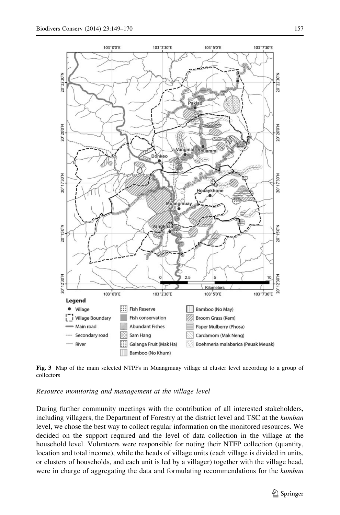<span id="page-8-0"></span>

Fig. 3 Map of the main selected NTPFs in Muangmuay village at cluster level according to a group of collectors

## Resource monitoring and management at the village level

During further community meetings with the contribution of all interested stakeholders, including villagers, the Department of Forestry at the district level and TSC at the kumban level, we chose the best way to collect regular information on the monitored resources. We decided on the support required and the level of data collection in the village at the household level. Volunteers were responsible for noting their NTFP collection (quantity, location and total income), while the heads of village units (each village is divided in units, or clusters of households, and each unit is led by a villager) together with the village head, were in charge of aggregating the data and formulating recommendations for the *kumban*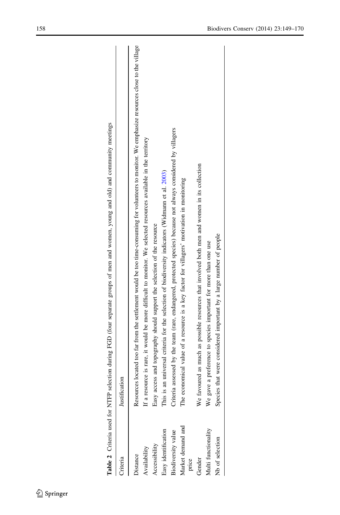<span id="page-9-0"></span>

| Criteria                   | Justification                                                                                                                                    |
|----------------------------|--------------------------------------------------------------------------------------------------------------------------------------------------|
| Distance                   | Resources located too far from the settlement would be too time-consuming for volunteers to monitor. We emphasize resources close to the village |
| Availability               | If a resource is rare, it would be more difficult to monitor. We selected resources available in the territory                                   |
| Accessibility              | Easy access and topography should support the selection of the resource                                                                          |
| Easy identification        | an universal criteria for the selection of biodiversity indicators (Widmann et al. 2003)<br>This is                                              |
| Biodiversity value         | Criteria assessed by the team (rare, endangered, protected species) because not always considered by villagers                                   |
| Market demand and<br>price | The economical value of a resource is a key factor for villagers' motivation in monitoring                                                       |
| Gender                     | We favoured as much as possible resources that involved both men and women in its collection                                                     |
| Multi functionality        | We gave a preference to species important for more than one use                                                                                  |
| Nb of selection            | Species that were considered important by a large number of people                                                                               |

Ŀ, ्  $d$  old): ् .<br>نه ્ક ECD  $\ddot{\phantom{a}}$  $\cdot$ - 3 ÷,  $\overline{\phantom{a}}$ ł ŀ,  $\ddot{\phantom{a}}$ ृं  $\epsilon$ Ė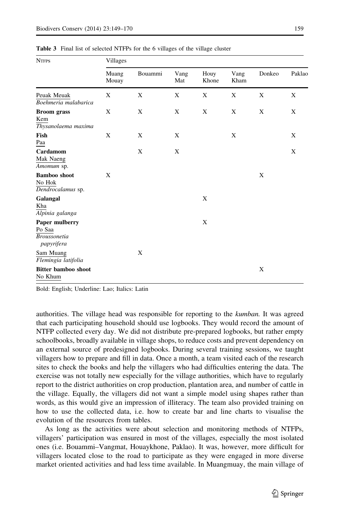| <b>NTFPS</b>                                                  | Villages       |             |             |               |              |        |        |
|---------------------------------------------------------------|----------------|-------------|-------------|---------------|--------------|--------|--------|
|                                                               | Muang<br>Mouay | Bouammi     | Vang<br>Mat | Houy<br>Khone | Vang<br>Kham | Donkeo | Paklao |
| Peuak Meuak<br>Boehmeria malabarica                           | X              | X           | Χ           | X             | X            | X      | Χ      |
| <b>Broom</b> grass<br>Kem<br>Thysanolaema maxima              | X              | X           | X           | Χ             | Χ            | X      | X      |
| Fish<br>Paa                                                   | X              | X           | X           |               | Χ            |        | X      |
| Cardamom<br>Mak Naeng<br>Amomum sp.                           |                | X           | X           |               |              |        | X      |
| <b>Bamboo</b> shoot<br>No Hok<br>Dendrocalamus sp.            | X              |             |             |               |              | X      |        |
| Galangal<br>Kha<br>Alpinia galanga                            |                |             |             | X             |              |        |        |
| Paper mulberry<br>Po Saa<br><b>Broussonetia</b><br>papyrifera |                |             |             | X             |              |        |        |
| Sam Muang<br>Flemingia latifolia                              |                | $\mathbf X$ |             |               |              |        |        |
| <b>Bitter bamboo shoot</b><br>No Khum                         |                |             |             |               |              | X      |        |

<span id="page-10-0"></span>Table 3 Final list of selected NTFPs for the 6 villages of the village cluster

Bold: English; Underline: Lao; Italics: Latin

authorities. The village head was responsible for reporting to the kumban. It was agreed that each participating household should use logbooks. They would record the amount of NTFP collected every day. We did not distribute pre-prepared logbooks, but rather empty schoolbooks, broadly available in village shops, to reduce costs and prevent dependency on an external source of predesigned logbooks. During several training sessions, we taught villagers how to prepare and fill in data. Once a month, a team visited each of the research sites to check the books and help the villagers who had difficulties entering the data. The exercise was not totally new especially for the village authorities, which have to regularly report to the district authorities on crop production, plantation area, and number of cattle in the village. Equally, the villagers did not want a simple model using shapes rather than words, as this would give an impression of illiteracy. The team also provided training on how to use the collected data, i.e. how to create bar and line charts to visualise the evolution of the resources from tables.

As long as the activities were about selection and monitoring methods of NTFPs, villagers' participation was ensured in most of the villages, especially the most isolated ones (i.e. Bouammi–Vangmat, Houaykhone, Paklao). It was, however, more difficult for villagers located close to the road to participate as they were engaged in more diverse market oriented activities and had less time available. In Muangmuay, the main village of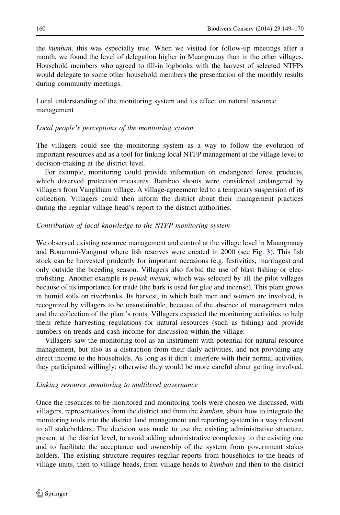the kumban, this was especially true. When we visited for follow-up meetings after a month, we found the level of delegation higher in Muangmuay than in the other villages. Household members who agreed to fill-in logbooks with the harvest of selected NTFPs would delegate to some other household members the presentation of the monthly results during community meetings.

Local understanding of the monitoring system and its effect on natural resource management

## Local people's perceptions of the monitoring system

The villagers could see the monitoring system as a way to follow the evolution of important resources and as a tool for linking local NTFP management at the village level to decision-making at the district level.

For example, monitoring could provide information on endangered forest products, which deserved protection measures. Bamboo shoots were considered endangered by villagers from Vangkham village. A village-agreement led to a temporary suspension of its collection. Villagers could then inform the district about their management practices during the regular village head's report to the district authorities.

## Contribution of local knowledge to the NTFP monitoring system

We observed existing resource management and control at the village level in Muangmuay and Bouammi-Vangmat where fish reserves were created in 2000 (see Fig. [3\)](#page-8-0). This fish stock can be harvested prudently for important occasions (e.g. festivities, marriages) and only outside the breeding season. Villagers also forbid the use of blast fishing or electrofishing. Another example is peuak meuak, which was selected by all the pilot villages because of its importance for trade (the bark is used for glue and incense). This plant grows in humid soils on riverbanks. Its harvest, in which both men and women are involved, is recognized by villagers to be unsustainable, because of the absence of management rules and the collection of the plant's roots. Villagers expected the monitoring activities to help them refine harvesting regulations for natural resources (such as fishing) and provide numbers on trends and cash income for discussion within the village.

Villagers saw the monitoring tool as an instrument with potential for natural resource management, but also as a distraction from their daily activities, and not providing any direct income to the households. As long as it didn't interfere with their normal activities, they participated willingly; otherwise they would be more careful about getting involved.

## Linking resource monitoring to multilevel governance

Once the resources to be monitored and monitoring tools were chosen we discussed, with villagers, representatives from the district and from the kumban, about how to integrate the monitoring tools into the district land management and reporting system in a way relevant to all stakeholders. The decision was made to use the existing administrative structure, present at the district level, to avoid adding administrative complexity to the existing one and to facilitate the acceptance and ownership of the system from government stakeholders. The existing structure requires regular reports from households to the heads of village units, then to village heads, from village heads to kumban and then to the district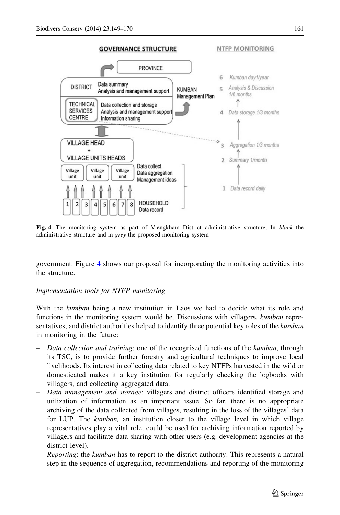<span id="page-12-0"></span>

Fig. 4 The monitoring system as part of Viengkham District administrative structure. In *black* the administrative structure and in grey the proposed monitoring system

government. Figure 4 shows our proposal for incorporating the monitoring activities into the structure.

# Implementation tools for NTFP monitoring

With the *kumban* being a new institution in Laos we had to decide what its role and functions in the monitoring system would be. Discussions with villagers, kumban representatives, and district authorities helped to identify three potential key roles of the *kumban* in monitoring in the future:

- Data collection and training: one of the recognised functions of the kumban, through its TSC, is to provide further forestry and agricultural techniques to improve local livelihoods. Its interest in collecting data related to key NTFPs harvested in the wild or domesticated makes it a key institution for regularly checking the logbooks with villagers, and collecting aggregated data.
- Data management and storage: villagers and district officers identified storage and utilization of information as an important issue. So far, there is no appropriate archiving of the data collected from villages, resulting in the loss of the villages' data for LUP. The kumban, an institution closer to the village level in which village representatives play a vital role, could be used for archiving information reported by villagers and facilitate data sharing with other users (e.g. development agencies at the district level).
- Reporting: the kumban has to report to the district authority. This represents a natural step in the sequence of aggregation, recommendations and reporting of the monitoring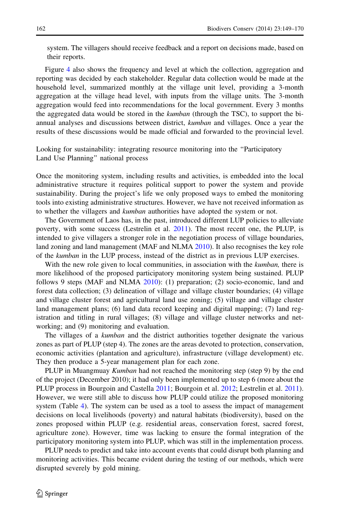system. The villagers should receive feedback and a report on decisions made, based on their reports.

Figure [4](#page-12-0) also shows the frequency and level at which the collection, aggregation and reporting was decided by each stakeholder. Regular data collection would be made at the household level, summarized monthly at the village unit level, providing a 3-month aggregation at the village head level, with inputs from the village units. The 3-month aggregation would feed into recommendations for the local government. Every 3 months the aggregated data would be stored in the *kumban* (through the TSC), to support the biannual analyses and discussions between district, kumban and villages. Once a year the results of these discussions would be made official and forwarded to the provincial level.

Looking for sustainability: integrating resource monitoring into the ''Participatory Land Use Planning'' national process

Once the monitoring system, including results and activities, is embedded into the local administrative structure it requires political support to power the system and provide sustainability. During the project's life we only proposed ways to embed the monitoring tools into existing administrative structures. However, we have not received information as to whether the villagers and kumban authorities have adopted the system or not.

The Government of Laos has, in the past, introduced different LUP policies to alleviate poverty, with some success (Lestrelin et al. [2011](#page-20-0)). The most recent one, the PLUP, is intended to give villagers a stronger role in the negotiation process of village boundaries, land zoning and land management (MAF and NLMA [2010](#page-20-0)). It also recognises the key role of the kumban in the LUP process, instead of the district as in previous LUP exercises.

With the new role given to local communities, in association with the kumban, there is more likelihood of the proposed participatory monitoring system being sustained. PLUP follows 9 steps (MAF and NLMA [2010](#page-20-0)): (1) preparation; (2) socio-economic, land and forest data collection; (3) delineation of village and village cluster boundaries; (4) village and village cluster forest and agricultural land use zoning; (5) village and village cluster land management plans; (6) land data record keeping and digital mapping; (7) land registration and titling in rural villages; (8) village and village cluster networks and networking; and (9) monitoring and evaluation.

The villages of a kumban and the district authorities together designate the various zones as part of PLUP (step 4). The zones are the areas devoted to protection, conservation, economic activities (plantation and agriculture), infrastructure (village development) etc. They then produce a 5-year management plan for each zone.

PLUP in Muangmuay *Kumban* had not reached the monitoring step (step 9) by the end of the project (December 2010); it had only been implemented up to step 6 (more about the PLUP process in Bourgoin and Castella [2011;](#page-20-0) Bourgoin et al. [2012;](#page-20-0) Lestrelin et al. [2011](#page-20-0)). However, we were still able to discuss how PLUP could utilize the proposed monitoring system (Table [4](#page-14-0)). The system can be used as a tool to assess the impact of management decisions on local livelihoods (poverty) and natural habitats (biodiversity), based on the zones proposed within PLUP (e.g. residential areas, conservation forest, sacred forest, agriculture zone). However, time was lacking to ensure the formal integration of the participatory monitoring system into PLUP, which was still in the implementation process.

PLUP needs to predict and take into account events that could disrupt both planning and monitoring activities. This became evident during the testing of our methods, which were disrupted severely by gold mining.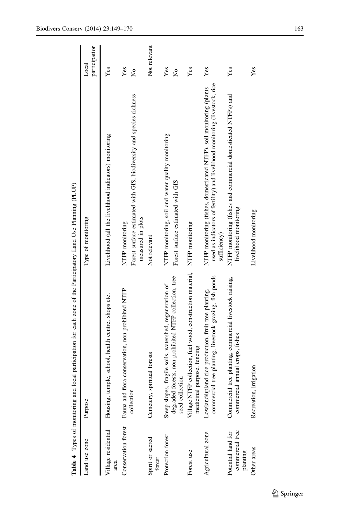<span id="page-14-0"></span>

| Table 4 Types of monitoring and                   | local participation for each zone of the Participatory Land Use Planning (PLUP)                                                      |                                                                                                                                                                     |                        |
|---------------------------------------------------|--------------------------------------------------------------------------------------------------------------------------------------|---------------------------------------------------------------------------------------------------------------------------------------------------------------------|------------------------|
| Land use zone                                     | Purpose                                                                                                                              | Type of monitoring                                                                                                                                                  | participation<br>Local |
| Village residential<br>area                       | Housing, temple, school, health centre, shops etc.                                                                                   | Livelihood (all the livelihood indicators) monitoring                                                                                                               | Yes                    |
| Conservation forest                               | Fauna and flora conservation, non prohibited NTFP<br>collection                                                                      | Forest surface estimated with GIS, biodiversity and species richness<br>measured in plots<br>NTFP monitoring                                                        | Yes<br>ž               |
| Spirit or sacred<br>forest                        | Cemetery, spiritual forests                                                                                                          | Not relevant                                                                                                                                                        | Not relevant           |
| Protection forest                                 | Steep slopes, fragile soils, watershed, regeneration of<br>degraded forests, non prohibited NTFP collection, tree<br>seed collection | NTFP monitoring, soil and water quality monitoring<br>Forest surface estimated with GIS                                                                             | Yes<br>ž               |
| Forest use                                        | Village NTFP collection, fuel wood, construction material, NTFP monitoring medicinal purpose, fencing                                |                                                                                                                                                                     | Yes                    |
| Agricultural zone                                 | commercial tree planting, livestock grazing, fish ponds<br>Lowland/upland rice production, fruit tree planting,                      | used as indicators of fertility) and livelihood monitoring (livestock, rice<br>NTFP monitoring (fishes, domesticated NTFP), soil monitoring (plants<br>sufficiency) | Yes                    |
| commercial tree<br>Potential land for<br>planting | tree planting, commercial livestock raising,<br>commercial annual crops, fishes<br>Commercial                                        | NTFP monitoring (fishes and commercial domesticated NTFPs) and<br>livelihood monitoring                                                                             | Yes                    |
| Other areas                                       | rrigation<br>Recreation, i                                                                                                           | Livelihood monitoring                                                                                                                                               | Yes                    |
|                                                   |                                                                                                                                      |                                                                                                                                                                     |                        |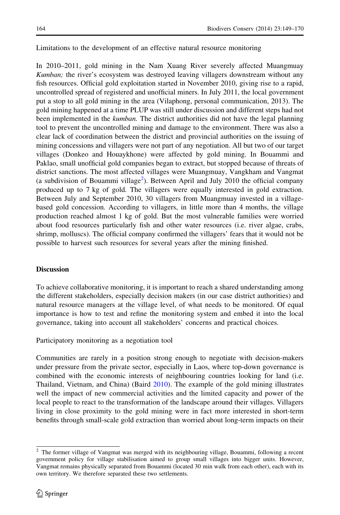Limitations to the development of an effective natural resource monitoring

In 2010–2011, gold mining in the Nam Xuang River severely affected Muangmuay Kumban; the river's ecosystem was destroyed leaving villagers downstream without any fish resources. Official gold exploitation started in November 2010, giving rise to a rapid, uncontrolled spread of registered and unofficial miners. In July 2011, the local government put a stop to all gold mining in the area (Vilaphong, personal communication, 2013). The gold mining happened at a time PLUP was still under discussion and different steps had not been implemented in the *kumban*. The district authorities did not have the legal planning tool to prevent the uncontrolled mining and damage to the environment. There was also a clear lack of coordination between the district and provincial authorities on the issuing of mining concessions and villagers were not part of any negotiation. All but two of our target villages (Donkeo and Houaykhone) were affected by gold mining. In Bouammi and Paklao, small unofficial gold companies began to extract, but stopped because of threats of district sanctions. The most affected villages were Muangmuay, Vangkham and Vangmat (a subdivision of Bouammi village<sup>2</sup>). Between April and July 2010 the official company produced up to 7 kg of gold. The villagers were equally interested in gold extraction. Between July and September 2010, 30 villagers from Muangmuay invested in a villagebased gold concession. According to villagers, in little more than 4 months, the village production reached almost 1 kg of gold. But the most vulnerable families were worried about food resources particularly fish and other water resources (i.e. river algae, crabs, shrimp, molluscs). The official company confirmed the villagers' fears that it would not be possible to harvest such resources for several years after the mining finished.

# **Discussion**

To achieve collaborative monitoring, it is important to reach a shared understanding among the different stakeholders, especially decision makers (in our case district authorities) and natural resource managers at the village level, of what needs to be monitored. Of equal importance is how to test and refine the monitoring system and embed it into the local governance, taking into account all stakeholders' concerns and practical choices.

Participatory monitoring as a negotiation tool

Communities are rarely in a position strong enough to negotiate with decision-makers under pressure from the private sector, especially in Laos, where top-down governance is combined with the economic interests of neighbouring countries looking for land (i.e. Thailand, Vietnam, and China) (Baird [2010](#page-20-0)). The example of the gold mining illustrates well the impact of new commercial activities and the limited capacity and power of the local people to react to the transformation of the landscape around their villages. Villagers living in close proximity to the gold mining were in fact more interested in short-term benefits through small-scale gold extraction than worried about long-term impacts on their

 $2$  The former village of Vangmat was merged with its neighbouring village, Bouammi, following a recent government policy for village stabilisation aimed to group small villages into bigger units. However, Vangmat remains physically separated from Bouammi (located 30 min walk from each other), each with its own territory. We therefore separated these two settlements.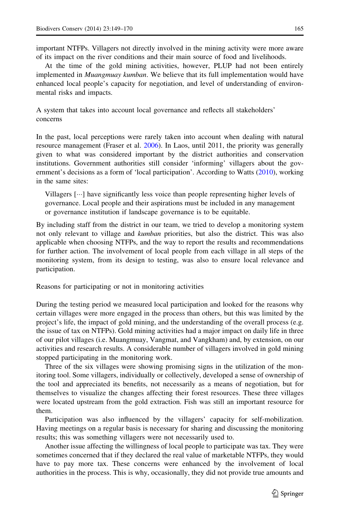important NTFPs. Villagers not directly involved in the mining activity were more aware of its impact on the river conditions and their main source of food and livelihoods.

At the time of the gold mining activities, however, PLUP had not been entirely implemented in *Muangmuay kumban*. We believe that its full implementation would have enhanced local people's capacity for negotiation, and level of understanding of environmental risks and impacts.

A system that takes into account local governance and reflects all stakeholders' concerns

In the past, local perceptions were rarely taken into account when dealing with natural resource management (Fraser et al. [2006\)](#page-20-0). In Laos, until 2011, the priority was generally given to what was considered important by the district authorities and conservation institutions. Government authorities still consider 'informing' villagers about the government's decisions as a form of 'local participation'. According to Watts [\(2010](#page-21-0)), working in the same sites:

Villagers [...] have significantly less voice than people representing higher levels of governance. Local people and their aspirations must be included in any management or governance institution if landscape governance is to be equitable.

By including staff from the district in our team, we tried to develop a monitoring system not only relevant to village and *kumban* priorities, but also the district. This was also applicable when choosing NTFPs, and the way to report the results and recommendations for further action. The involvement of local people from each village in all steps of the monitoring system, from its design to testing, was also to ensure local relevance and participation.

Reasons for participating or not in monitoring activities

During the testing period we measured local participation and looked for the reasons why certain villages were more engaged in the process than others, but this was limited by the project's life, the impact of gold mining, and the understanding of the overall process (e.g. the issue of tax on NTFPs). Gold mining activities had a major impact on daily life in three of our pilot villages (i.e. Muangmuay, Vangmat, and Vangkham) and, by extension, on our activities and research results. A considerable number of villagers involved in gold mining stopped participating in the monitoring work.

Three of the six villages were showing promising signs in the utilization of the monitoring tool. Some villagers, individually or collectively, developed a sense of ownership of the tool and appreciated its benefits, not necessarily as a means of negotiation, but for themselves to visualize the changes affecting their forest resources. These three villages were located upstream from the gold extraction. Fish was still an important resource for them.

Participation was also influenced by the villagers' capacity for self-mobilization. Having meetings on a regular basis is necessary for sharing and discussing the monitoring results; this was something villagers were not necessarily used to.

Another issue affecting the willingness of local people to participate was tax. They were sometimes concerned that if they declared the real value of marketable NTFPs, they would have to pay more tax. These concerns were enhanced by the involvement of local authorities in the process. This is why, occasionally, they did not provide true amounts and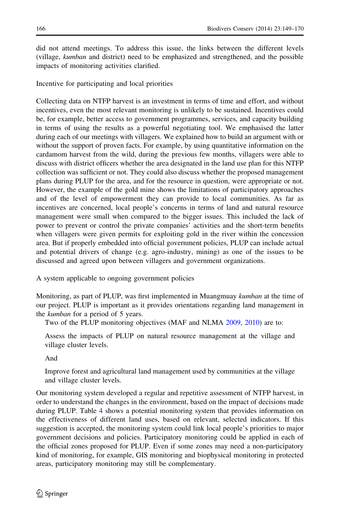did not attend meetings. To address this issue, the links between the different levels (village, kumban and district) need to be emphasized and strengthened, and the possible impacts of monitoring activities clarified.

Incentive for participating and local priorities

Collecting data on NTFP harvest is an investment in terms of time and effort, and without incentives, even the most relevant monitoring is unlikely to be sustained. Incentives could be, for example, better access to government programmes, services, and capacity building in terms of using the results as a powerful negotiating tool. We emphasised the latter during each of our meetings with villagers. We explained how to build an argument with or without the support of proven facts. For example, by using quantitative information on the cardamom harvest from the wild, during the previous few months, villagers were able to discuss with district officers whether the area designated in the land use plan for this NTFP collection was sufficient or not. They could also discuss whether the proposed management plans during PLUP for the area, and for the resource in question, were appropriate or not. However, the example of the gold mine shows the limitations of participatory approaches and of the level of empowerment they can provide to local communities. As far as incentives are concerned, local people's concerns in terms of land and natural resource management were small when compared to the bigger issues. This included the lack of power to prevent or control the private companies' activities and the short-term benefits when villagers were given permits for exploiting gold in the river within the concession area. But if properly embedded into official government policies, PLUP can include actual and potential drivers of change (e.g. agro-industry, mining) as one of the issues to be discussed and agreed upon between villagers and government organizations.

A system applicable to ongoing government policies

Monitoring, as part of PLUP, was first implemented in Muangmuay kumban at the time of our project. PLUP is important as it provides orientations regarding land management in the kumban for a period of 5 years.

Two of the PLUP monitoring objectives (MAF and NLMA [2009](#page-20-0), [2010\)](#page-20-0) are to:

Assess the impacts of PLUP on natural resource management at the village and village cluster levels.

And

Improve forest and agricultural land management used by communities at the village and village cluster levels.

Our monitoring system developed a regular and repetitive assessment of NTFP harvest, in order to understand the changes in the environment, based on the impact of decisions made during PLUP. Table [4](#page-14-0) shows a potential monitoring system that provides information on the effectiveness of different land uses, based on relevant, selected indicators. If this suggestion is accepted, the monitoring system could link local people's priorities to major government decisions and policies. Participatory monitoring could be applied in each of the official zones proposed for PLUP. Even if some zones may need a non-participatory kind of monitoring, for example, GIS monitoring and biophysical monitoring in protected areas, participatory monitoring may still be complementary.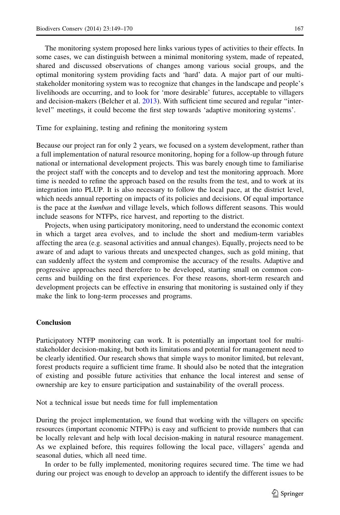The monitoring system proposed here links various types of activities to their effects. In some cases, we can distinguish between a minimal monitoring system, made of repeated, shared and discussed observations of changes among various social groups, and the optimal monitoring system providing facts and 'hard' data. A major part of our multistakeholder monitoring system was to recognize that changes in the landscape and people's livelihoods are occurring, and to look for 'more desirable' futures, acceptable to villagers and decision-makers (Belcher et al. [2013\)](#page-20-0). With sufficient time secured and regular "interlevel'' meetings, it could become the first step towards 'adaptive monitoring systems'.

Time for explaining, testing and refining the monitoring system

Because our project ran for only 2 years, we focused on a system development, rather than a full implementation of natural resource monitoring, hoping for a follow-up through future national or international development projects. This was barely enough time to familiarise the project staff with the concepts and to develop and test the monitoring approach. More time is needed to refine the approach based on the results from the test, and to work at its integration into PLUP. It is also necessary to follow the local pace, at the district level, which needs annual reporting on impacts of its policies and decisions. Of equal importance is the pace at the *kumban* and village levels, which follows different seasons. This would include seasons for NTFPs, rice harvest, and reporting to the district.

Projects, when using participatory monitoring, need to understand the economic context in which a target area evolves, and to include the short and medium-term variables affecting the area (e.g. seasonal activities and annual changes). Equally, projects need to be aware of and adapt to various threats and unexpected changes, such as gold mining, that can suddenly affect the system and compromise the accuracy of the results. Adaptive and progressive approaches need therefore to be developed, starting small on common concerns and building on the first experiences. For these reasons, short-term research and development projects can be effective in ensuring that monitoring is sustained only if they make the link to long-term processes and programs.

#### Conclusion

Participatory NTFP monitoring can work. It is potentially an important tool for multistakeholder decision-making, but both its limitations and potential for management need to be clearly identified. Our research shows that simple ways to monitor limited, but relevant, forest products require a sufficient time frame. It should also be noted that the integration of existing and possible future activities that enhance the local interest and sense of ownership are key to ensure participation and sustainability of the overall process.

Not a technical issue but needs time for full implementation

During the project implementation, we found that working with the villagers on specific resources (important economic NTFPs) is easy and sufficient to provide numbers that can be locally relevant and help with local decision-making in natural resource management. As we explained before, this requires following the local pace, villagers' agenda and seasonal duties, which all need time.

In order to be fully implemented, monitoring requires secured time. The time we had during our project was enough to develop an approach to identify the different issues to be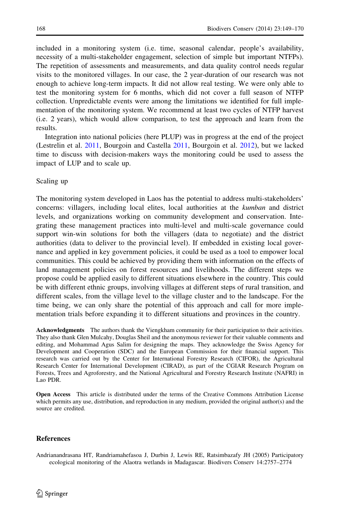<span id="page-19-0"></span>included in a monitoring system (i.e. time, seasonal calendar, people's availability, necessity of a multi-stakeholder engagement, selection of simple but important NTFPs). The repetition of assessments and measurements, and data quality control needs regular visits to the monitored villages. In our case, the 2 year-duration of our research was not enough to achieve long-term impacts. It did not allow real testing. We were only able to test the monitoring system for 6 months, which did not cover a full season of NTFP collection. Unpredictable events were among the limitations we identified for full implementation of the monitoring system. We recommend at least two cycles of NTFP harvest (i.e. 2 years), which would allow comparison, to test the approach and learn from the results.

Integration into national policies (here PLUP) was in progress at the end of the project (Lestrelin et al. [2011,](#page-20-0) Bourgoin and Castella [2011](#page-20-0), Bourgoin et al. [2012](#page-20-0)), but we lacked time to discuss with decision-makers ways the monitoring could be used to assess the impact of LUP and to scale up.

#### Scaling up

The monitoring system developed in Laos has the potential to address multi-stakeholders' concerns: villagers, including local elites, local authorities at the kumban and district levels, and organizations working on community development and conservation. Integrating these management practices into multi-level and multi-scale governance could support win-win solutions for both the villagers (data to negotiate) and the district authorities (data to deliver to the provincial level). If embedded in existing local governance and applied in key government policies, it could be used as a tool to empower local communities. This could be achieved by providing them with information on the effects of land management policies on forest resources and livelihoods. The different steps we propose could be applied easily to different situations elsewhere in the country. This could be with different ethnic groups, involving villages at different steps of rural transition, and different scales, from the village level to the village cluster and to the landscape. For the time being, we can only share the potential of this approach and call for more implementation trials before expanding it to different situations and provinces in the country.

Acknowledgments The authors thank the Viengkham community for their participation to their activities. They also thank Glen Mulcahy, Douglas Sheil and the anonymous reviewer for their valuable comments and editing, and Mohammad Agus Salim for designing the maps. They acknowledge the Swiss Agency for Development and Cooperation (SDC) and the European Commission for their financial support. This research was carried out by the Center for International Forestry Research (CIFOR), the Agricultural Research Center for International Development (CIRAD), as part of the CGIAR Research Program on Forests, Trees and Agroforestry, and the National Agricultural and Forestry Research Institute (NAFRI) in Lao PDR.

Open Access This article is distributed under the terms of the Creative Commons Attribution License which permits any use, distribution, and reproduction in any medium, provided the original author(s) and the source are credited.

#### References

Andrianandrasana HT, Randriamahefasoa J, Durbin J, Lewis RE, Ratsimbazafy JH (2005) Participatory ecological monitoring of the Alaotra wetlands in Madagascar. Biodivers Conserv 14:2757–2774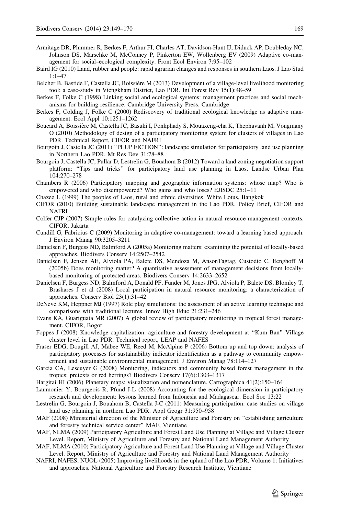- <span id="page-20-0"></span>Armitage DR, Plummer R, Berkes F, Arthur FI, Charles AT, Davidson-Hunt IJ, Diduck AP, Doubleday NC, Johnson DS, Marschke M, McConney P, Pinkerton EW, Wollenberg EV (2009) Adaptive co-management for social–ecological complexity. Front Ecol Environ 7:95–102
- Baird IG (2010) Land, rubber and people: rapid agrarian changes and responses in southern Laos. J Lao Stud  $1:1-47$
- Belcher B, Bastide F, Castella JC, Boissière M (2013) Development of a village-level livelihood monitoring tool: a case-study in Viengkham District, Lao PDR. Int Forest Rev 15(1):48–59
- Berkes F, Folke C (1998) Linking social and ecological systems: management practices and social mechanisms for building resilience. Cambridge University Press, Cambridge
- Berkes F, Colding J, Folke C (2000) Rediscovery of traditional ecological knowledge as adaptive management. Ecol Appl 10:1251–1262
- Boucard A, Boissière M, Castella JC, Basuki I, Ponkphady S, Mouaxeng-cha K, Thephavanh M, Vongmany O (2010) Methodology of design of a participatory monitoring system for clusters of villages in Lao PDR. Technical Report, CIFOR and NAFRI
- Bourgoin J, Castella JC (2011) ''PLUP FICTION'': landscape simulation for participatory land use planning in Northern Lao PDR. Mt Res Dev 31:78–88
- Bourgoin J, Castella JC, Pullar D, Lestrelin G, Bouahom B (2012) Toward a land zoning negotiation support platform: ''Tips and tricks'' for participatory land use planning in Laos. Landsc Urban Plan 104:270–278
- Chambers R (2006) Participatory mapping and geographic information systems: whose map? Who is empowered and who disempowered? Who gains and who loses? EJISDC 25:1–11
- Chazee L (1999) The peoples of Laos, rural and ethnic diversities. White Lotus, Bangkok
- CIFOR (2010) Building sustainable landscape management in the Lao PDR. Policy Brief, CIFOR and NAFRI
- Colfer CJP (2007) Simple rules for catalyzing collective action in natural resource management contexts. CIFOR, Jakarta
- Cundill G, Fabricius C (2009) Monitoring in adaptive co-management: toward a learning based approach. J Environ Manag 90:3205–3211
- Danielsen F, Burgess ND, Balmford A (2005a) Monitoring matters: examining the potential of locally-based approaches. Biodivers Conserv 14:2507–2542
- Danielsen F, Jensen AE, Alviola PA, Balete DS, Mendoza M, AnsonTagtag, Custodio C, Eenghoff M (2005b) Does monitoring matter? A quantitative assessment of management decisions from locallybased monitoring of protected areas. Biodivers Conserv 14:2633–2652
- Danielsen F, Burgess ND, Balmford A, Donald PF, Funder M, Jones JPG, Alviola P, Balete DS, Blomley T, Brashares J et al (2008) Local participation in natural resource monitoring: a characterization of approaches. Conserv Biol 23(1):31–42
- DeNeve KM, Heppner MJ (1997) Role play simulations: the assessment of an active learning technique and comparisons with traditional lectures. Innov High Educ 21:231–246
- Evans KA, Guariguata MR (2007) A global review of participatory monitoring in tropical forest management. CIFOR, Bogor
- Foppes J (2008) Knowledge capitalization: agriculture and forestry development at ''Kum Ban'' Village cluster level in Lao PDR. Technical report, LEAP and NAFES
- Fraser EDG, Dougill AJ, Mabee WE, Reed M, McAlpine P (2006) Bottom up and top down: analysis of participatory processes for sustainability indicator identification as a pathway to community empowerment and sustainable environmental management. J Environ Manag 78:114–127
- Garcia CA, Lescuyer G (2008) Monitoring, indicators and community based forest management in the tropics: pretexts or red herrings? Biodivers Conserv 17(6):1303–1317
- Hargitai HI (2006) Planetary maps: visualization and nomenclature. Cartographica 41(2):150–164
- Laumonier Y, Bourgeois R, Pfund J-L (2008) Accounting for the ecological dimension in participatory research and development: lessons learned from Indonesia and Madagascar. Ecol Soc 13:22
- Lestrelin G, Bourgoin J, Bouahom B, Castella J-C (2011) Measuring participation: case studies on village land use planning in northern Lao PDR. Appl Geogr 31:950–958
- MAF (2008) Ministerial direction of the Minister of Agriculture and Forestry on ''establishing agriculture and forestry technical service center'' MAF, Vientiane
- MAF, NLMA (2009) Participatory Agriculture and Forest Land Use Planning at Village and Village Cluster Level. Report, Ministry of Agriculture and Forestry and National Land Management Authority
- MAF, NLMA (2010) Participatory Agriculture and Forest Land Use Planning at Village and Village Cluster Level. Report, Ministry of Agriculture and Forestry and National Land Management Authority
- NAFRI, NAFES, NUOL (2005) Improving livelihoods in the upland of the Lao PDR, Volume 1: Initiatives and approaches. National Agriculture and Forestry Research Institute, Vientiane